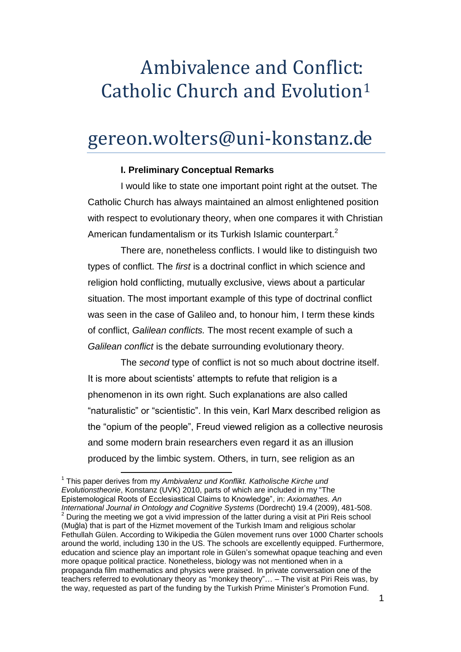# Ambivalence and Conflict: Catholic Church and Evolution<sup>1</sup>

# gereon.wolters@uni-konstanz.de

## **I. Preliminary Conceptual Remarks**

I would like to state one important point right at the outset. The Catholic Church has always maintained an almost enlightened position with respect to evolutionary theory, when one compares it with Christian American fundamentalism or its Turkish Islamic counterpart.<sup>2</sup>

There are, nonetheless conflicts. I would like to distinguish two types of conflict. The *first* is a doctrinal conflict in which science and religion hold conflicting, mutually exclusive, views about a particular situation. The most important example of this type of doctrinal conflict was seen in the case of Galileo and, to honour him, I term these kinds of conflict, *Galilean conflicts.* The most recent example of such a *Galilean conflict* is the debate surrounding evolutionary theory.

The *second* type of conflict is not so much about doctrine itself. It is more about scientists' attempts to refute that religion is a phenomenon in its own right. Such explanations are also called "naturalistic" or "scientistic". In this vein, Karl Marx described religion as the "opium of the people", Freud viewed religion as a collective neurosis and some modern brain researchers even regard it as an illusion produced by the limbic system. Others, in turn, see religion as an

l 1 This paper derives from my *Ambivalenz und Konflikt. Katholische Kirche und Evolutionstheorie*, Konstanz (UVK) 2010, parts of which are included in my "The Epistemological Roots of Ecclesiastical Claims to Knowledge", in: *Axiomathes. An International Journal in Ontology and Cognitive Systems* (Dordrecht) 19.4 (2009), 481-508.  $2$  During the meeting we got a vivid impression of the latter during a visit at Piri Reis school (Muğla) that is part of the Hizmet movement of the Turkish Imam and religious scholar Fethullah Gülen. According to Wikipedia the Gülen movement runs over 1000 Charter schools around the world, including 130 in the US. The schools are excellently equipped. Furthermore, education and science play an important role in Gülen's somewhat opaque teaching and even more opaque political practice. Nonetheless, biology was not mentioned when in a propaganda film mathematics and physics were praised. In private conversation one of the teachers referred to evolutionary theory as "monkey theory"… – The visit at Piri Reis was, by the way, requested as part of the funding by the Turkish Prime Minister's Promotion Fund.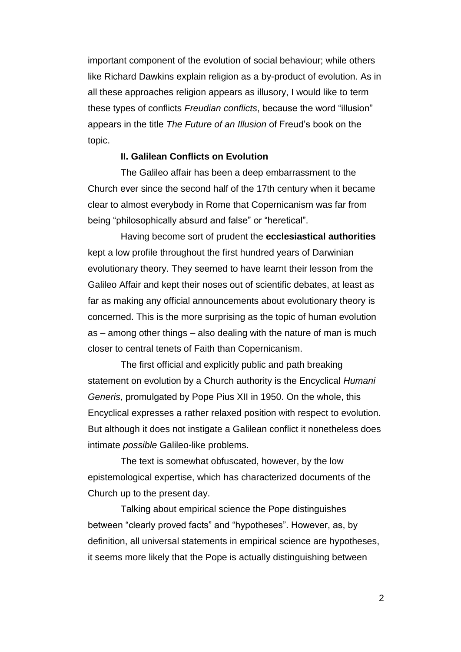important component of the evolution of social behaviour; while others like Richard Dawkins explain religion as a by-product of evolution. As in all these approaches religion appears as illusory, I would like to term these types of conflicts *Freudian conflicts*, because the word "illusion" appears in the title *The Future of an Illusion* of Freud's book on the topic.

### **II. Galilean Conflicts on Evolution**

The Galileo affair has been a deep embarrassment to the Church ever since the second half of the 17th century when it became clear to almost everybody in Rome that Copernicanism was far from being "philosophically absurd and false" or "heretical".

Having become sort of prudent the **ecclesiastical authorities** kept a low profile throughout the first hundred years of Darwinian evolutionary theory. They seemed to have learnt their lesson from the Galileo Affair and kept their noses out of scientific debates, at least as far as making any official announcements about evolutionary theory is concerned. This is the more surprising as the topic of human evolution as – among other things – also dealing with the nature of man is much closer to central tenets of Faith than Copernicanism.

The first official and explicitly public and path breaking statement on evolution by a Church authority is the Encyclical *Humani Generis*, promulgated by Pope Pius XII in 1950. On the whole, this Encyclical expresses a rather relaxed position with respect to evolution. But although it does not instigate a Galilean conflict it nonetheless does intimate *possible* Galileo-like problems.

The text is somewhat obfuscated, however, by the low epistemological expertise, which has characterized documents of the Church up to the present day.

Talking about empirical science the Pope distinguishes between "clearly proved facts" and "hypotheses". However, as, by definition, all universal statements in empirical science are hypotheses, it seems more likely that the Pope is actually distinguishing between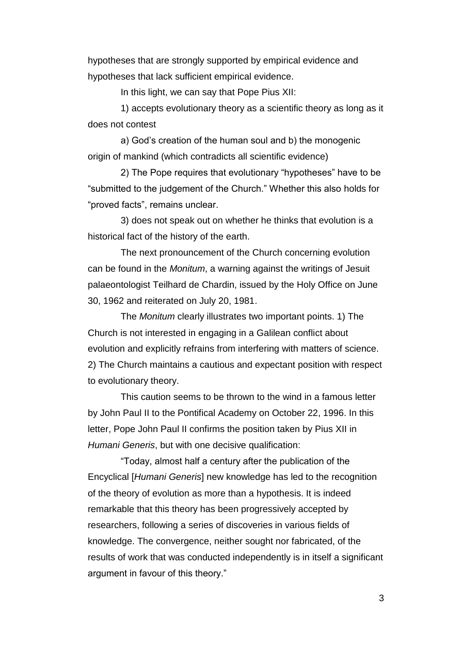hypotheses that are strongly supported by empirical evidence and hypotheses that lack sufficient empirical evidence.

In this light, we can say that Pope Pius XII:

1) accepts evolutionary theory as a scientific theory as long as it does not contest

a) God's creation of the human soul and b) the monogenic origin of mankind (which contradicts all scientific evidence)

2) The Pope requires that evolutionary "hypotheses" have to be "submitted to the judgement of the Church." Whether this also holds for "proved facts", remains unclear.

3) does not speak out on whether he thinks that evolution is a historical fact of the history of the earth.

The next pronouncement of the Church concerning evolution can be found in the *Monitum*, a warning against the writings of Jesuit palaeontologist Teilhard de Chardin, issued by the Holy Office on June 30, 1962 and reiterated on July 20, 1981.

The *Monitum* clearly illustrates two important points. 1) The Church is not interested in engaging in a Galilean conflict about evolution and explicitly refrains from interfering with matters of science. 2) The Church maintains a cautious and expectant position with respect to evolutionary theory.

This caution seems to be thrown to the wind in a famous letter by John Paul II to the Pontifical Academy on October 22, 1996. In this letter, Pope John Paul II confirms the position taken by Pius XII in *Humani Generis*, but with one decisive qualification:

"Today, almost half a century after the publication of the Encyclical [*Humani Generis*] new knowledge has led to the recognition of the theory of evolution as more than a hypothesis. It is indeed remarkable that this theory has been progressively accepted by researchers, following a series of discoveries in various fields of knowledge. The convergence, neither sought nor fabricated, of the results of work that was conducted independently is in itself a significant argument in favour of this theory."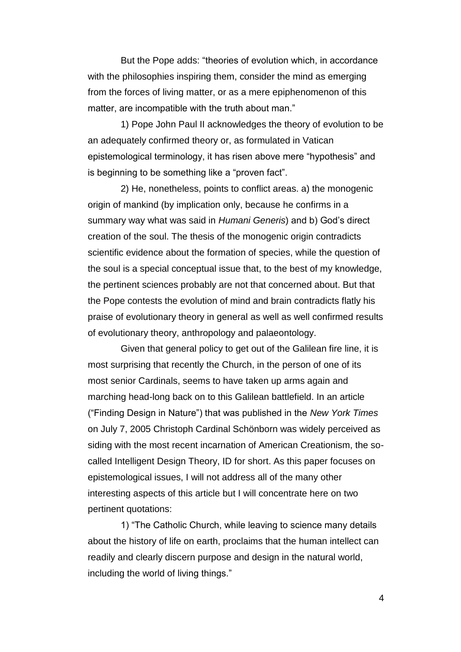But the Pope adds: "theories of evolution which, in accordance with the philosophies inspiring them, consider the mind as emerging from the forces of living matter, or as a mere epiphenomenon of this matter, are incompatible with the truth about man."

1) Pope John Paul II acknowledges the theory of evolution to be an adequately confirmed theory or, as formulated in Vatican epistemological terminology, it has risen above mere "hypothesis" and is beginning to be something like a "proven fact".

2) He, nonetheless, points to conflict areas. a) the monogenic origin of mankind (by implication only, because he confirms in a summary way what was said in *Humani Generis*) and b) God's direct creation of the soul. The thesis of the monogenic origin contradicts scientific evidence about the formation of species, while the question of the soul is a special conceptual issue that, to the best of my knowledge, the pertinent sciences probably are not that concerned about. But that the Pope contests the evolution of mind and brain contradicts flatly his praise of evolutionary theory in general as well as well confirmed results of evolutionary theory, anthropology and palaeontology.

Given that general policy to get out of the Galilean fire line, it is most surprising that recently the Church, in the person of one of its most senior Cardinals, seems to have taken up arms again and marching head-long back on to this Galilean battlefield. In an article ("Finding Design in Nature") that was published in the *New York Times* on July 7, 2005 Christoph Cardinal Schönborn was widely perceived as siding with the most recent incarnation of American Creationism, the socalled Intelligent Design Theory, ID for short. As this paper focuses on epistemological issues, I will not address all of the many other interesting aspects of this article but I will concentrate here on two pertinent quotations:

1) "The Catholic Church, while leaving to science many details about the history of life on earth, proclaims that the human intellect can readily and clearly discern purpose and design in the natural world, including the world of living things."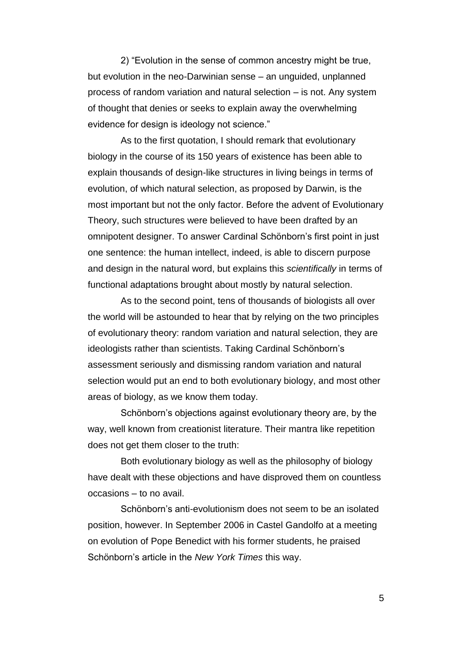2) "Evolution in the sense of common ancestry might be true, but evolution in the neo-Darwinian sense – an unguided, unplanned process of random variation and natural selection – is not. Any system of thought that denies or seeks to explain away the overwhelming evidence for design is ideology not science."

As to the first quotation, I should remark that evolutionary biology in the course of its 150 years of existence has been able to explain thousands of design-like structures in living beings in terms of evolution, of which natural selection, as proposed by Darwin, is the most important but not the only factor. Before the advent of Evolutionary Theory, such structures were believed to have been drafted by an omnipotent designer. To answer Cardinal Schönborn's first point in just one sentence: the human intellect, indeed, is able to discern purpose and design in the natural word, but explains this *scientifically* in terms of functional adaptations brought about mostly by natural selection.

As to the second point, tens of thousands of biologists all over the world will be astounded to hear that by relying on the two principles of evolutionary theory: random variation and natural selection, they are ideologists rather than scientists. Taking Cardinal Schönborn's assessment seriously and dismissing random variation and natural selection would put an end to both evolutionary biology, and most other areas of biology, as we know them today.

Schönborn's objections against evolutionary theory are, by the way, well known from creationist literature. Their mantra like repetition does not get them closer to the truth:

Both evolutionary biology as well as the philosophy of biology have dealt with these objections and have disproved them on countless occasions – to no avail.

Schönborn's anti-evolutionism does not seem to be an isolated position, however. In September 2006 in Castel Gandolfo at a meeting on evolution of Pope Benedict with his former students, he praised Schönborn's article in the *New York Times* this way.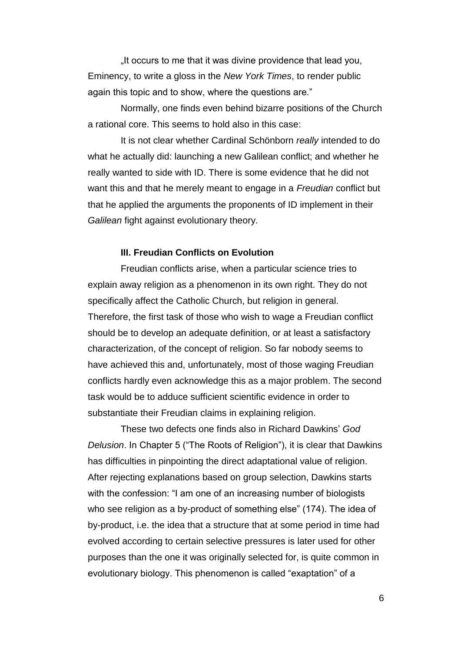It occurs to me that it was divine providence that lead you, Eminency, to write a gloss in the *New York Times*, to render public again this topic and to show, where the questions are."

Normally, one finds even behind bizarre positions of the Church a rational core. This seems to hold also in this case:

It is not clear whether Cardinal Schönborn *really* intended to do what he actually did: launching a new Galilean conflict; and whether he really wanted to side with ID. There is some evidence that he did not want this and that he merely meant to engage in a *Freudian* conflict but that he applied the arguments the proponents of ID implement in their *Galilean* fight against evolutionary theory.

#### **III. Freudian Conflicts on Evolution**

Freudian conflicts arise, when a particular science tries to explain away religion as a phenomenon in its own right. They do not specifically affect the Catholic Church, but religion in general. Therefore, the first task of those who wish to wage a Freudian conflict should be to develop an adequate definition, or at least a satisfactory characterization, of the concept of religion. So far nobody seems to have achieved this and, unfortunately, most of those waging Freudian conflicts hardly even acknowledge this as a major problem. The second task would be to adduce sufficient scientific evidence in order to substantiate their Freudian claims in explaining religion.

These two defects one finds also in Richard Dawkins' *God Delusion*. In Chapter 5 ("The Roots of Religion"), it is clear that Dawkins has difficulties in pinpointing the direct adaptational value of religion. After rejecting explanations based on group selection, Dawkins starts with the confession: "I am one of an increasing number of biologists who see religion as a by-product of something else" (174). The idea of by-product, i.e. the idea that a structure that at some period in time had evolved according to certain selective pressures is later used for other purposes than the one it was originally selected for, is quite common in evolutionary biology. This phenomenon is called "exaptation" of a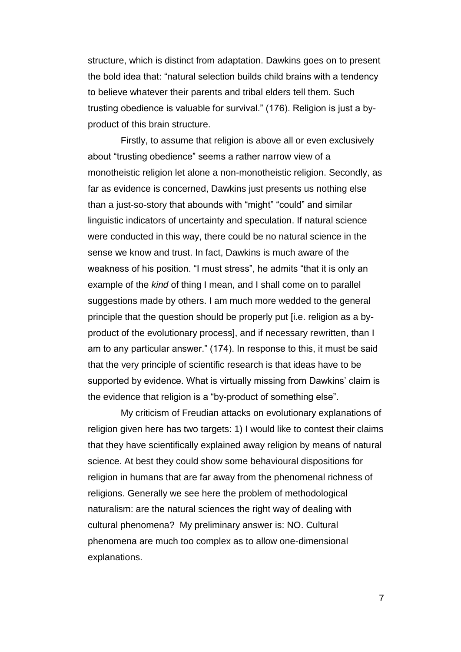structure, which is distinct from adaptation. Dawkins goes on to present the bold idea that: "natural selection builds child brains with a tendency to believe whatever their parents and tribal elders tell them. Such trusting obedience is valuable for survival." (176). Religion is just a byproduct of this brain structure.

Firstly, to assume that religion is above all or even exclusively about "trusting obedience" seems a rather narrow view of a monotheistic religion let alone a non-monotheistic religion. Secondly, as far as evidence is concerned, Dawkins just presents us nothing else than a just-so-story that abounds with "might" "could" and similar linguistic indicators of uncertainty and speculation. If natural science were conducted in this way, there could be no natural science in the sense we know and trust. In fact, Dawkins is much aware of the weakness of his position. "I must stress", he admits "that it is only an example of the *kind* of thing I mean, and I shall come on to parallel suggestions made by others. I am much more wedded to the general principle that the question should be properly put [i.e. religion as a byproduct of the evolutionary process], and if necessary rewritten, than I am to any particular answer." (174). In response to this, it must be said that the very principle of scientific research is that ideas have to be supported by evidence. What is virtually missing from Dawkins' claim is the evidence that religion is a "by-product of something else".

My criticism of Freudian attacks on evolutionary explanations of religion given here has two targets: 1) I would like to contest their claims that they have scientifically explained away religion by means of natural science. At best they could show some behavioural dispositions for religion in humans that are far away from the phenomenal richness of religions. Generally we see here the problem of methodological naturalism: are the natural sciences the right way of dealing with cultural phenomena? My preliminary answer is: NO. Cultural phenomena are much too complex as to allow one-dimensional explanations.